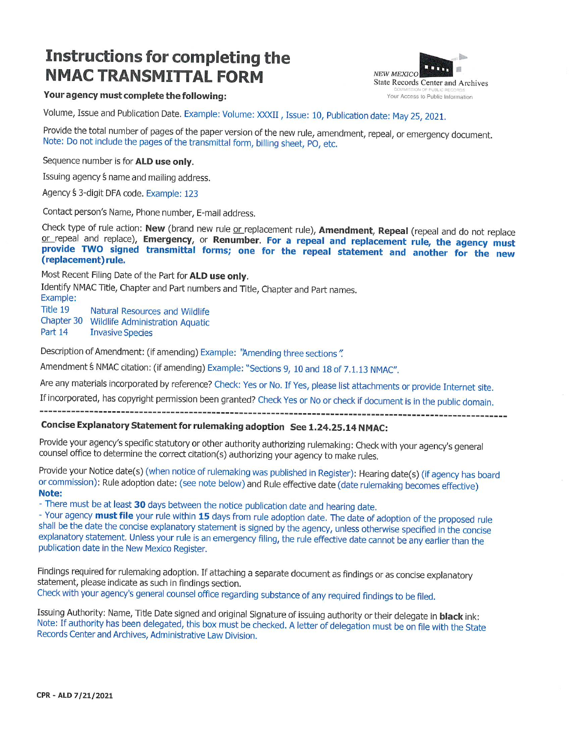# **Instructions for completing the NMAC TRANSMITTAL FORM**



### Your agency must complete the following:

Volume, Issue and Publication Date. Example: Volume: XXXII, Issue: 10, Publication date: May 25, 2021.

Provide the total number of pages of the paper version of the new rule, amendment, repeal, or emergency document. Note: Do not include the pages of the transmittal form, billing sheet, PO, etc.

Sequence number is for ALD use only.

Issuing agency *f* name and mailing address.

Agency \$3-digit DFA code. Example: 123

Contact person's Name, Phone number, E-mail address.

Check type of rule action: New (brand new rule or replacement rule), Amendment, Repeal (repeal and do not replace or repeal and replace), Emergency, or Renumber. For a repeal and replacement rule, the agency must provide TWO signed transmittal forms; one for the repeal statement and another for the new (replacement) rule.

Most Recent Filing Date of the Part for ALD use only.

Identify NMAC Title, Chapter and Part numbers and Title, Chapter and Part names. Example: Title 19 Natural Resources and Wildlife Chapter 30 Wildlife Administration Aquatic Part 14 **Invasive Species** 

Description of Amendment: (if amending) Example: "Amending three sections".

Amendment S NMAC citation: (if amending) Example: "Sections 9, 10 and 18 of 7.1.13 NMAC".

Are any materials incorporated by reference? Check: Yes or No. If Yes, please list attachments or provide Internet site.

If incorporated, has copyright permission been granted? Check Yes or No or check if document is in the public domain. 

### Concise Explanatory Statement for rulemaking adoption See 1.24.25.14 NMAC:

Provide your agency's specific statutory or other authority authorizing rulemaking: Check with your agency's general counsel office to determine the correct citation(s) authorizing your agency to make rules.

Provide your Notice date(s) (when notice of rulemaking was published in Register): Hearing date(s) (if agency has board or commission): Rule adoption date: (see note below) and Rule effective date (date rulemaking becomes effective) Note:

- There must be at least 30 days between the notice publication date and hearing date.

- Your agency must file your rule within 15 days from rule adoption date. The date of adoption of the proposed rule shall be the date the concise explanatory statement is signed by the agency, unless otherwise specified in the concise explanatory statement. Unless your rule is an emergency filing, the rule effective date cannot be any earlier than the publication date in the New Mexico Register.

Findings required for rulemaking adoption. If attaching a separate document as findings or as concise explanatory statement, please indicate as such in findings section.

Check with your agency's general counsel office regarding substance of any required findings to be filed.

Issuing Authority: Name, Title Date signed and original Signature of issuing authority or their delegate in **black** ink: Note: If authority has been delegated, this box must be checked. A letter of delegation must be on file with the State Records Center and Archives, Administrative Law Division.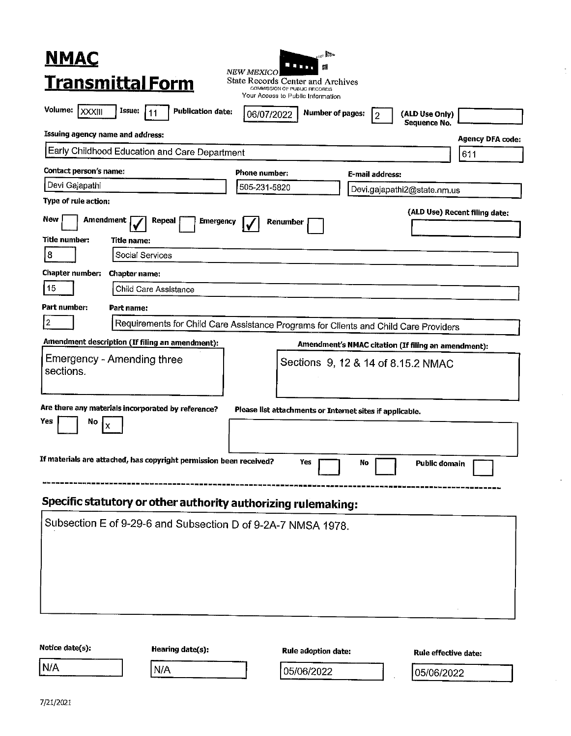| $\sim$<br><b>NMAC</b><br>.<br>翻                                                                                                                         |  |  |  |  |
|---------------------------------------------------------------------------------------------------------------------------------------------------------|--|--|--|--|
| <b>NEW MEXICO.</b><br><b>Transmittal Form</b><br>State Records Center and Archives<br>COMMISSION OF PUBLIC RECORDS<br>Your Access to Public Information |  |  |  |  |
| Volume:   XXXIII<br>Issue:<br><b>Publication date:</b><br>11<br><b>Number of pages:</b><br>(ALD Use Only)<br>06/07/2022<br>2<br>Sequence No.            |  |  |  |  |
| Issuing agency name and address:<br><b>Agency DFA code:</b>                                                                                             |  |  |  |  |
| Early Childhood Education and Care Department<br>611                                                                                                    |  |  |  |  |
| <b>Contact person's name:</b><br>Phone number:<br>E-mail address:                                                                                       |  |  |  |  |
| Devi Gajapathi<br>505-231-5820<br>Devi.gajapathi2@state.nm.us                                                                                           |  |  |  |  |
| Type of rule action:                                                                                                                                    |  |  |  |  |
| (ALD Use) Recent filing date:<br>New<br>Amendment<br>Repeal<br><b>Emergency</b><br>Renumber                                                             |  |  |  |  |
| Title number:<br>Title name:                                                                                                                            |  |  |  |  |
| 8<br>Social Services                                                                                                                                    |  |  |  |  |
| Chapter number:<br><b>Chapter name:</b>                                                                                                                 |  |  |  |  |
| 15<br>Child Care Assistance                                                                                                                             |  |  |  |  |
| Part number:<br>Part name:                                                                                                                              |  |  |  |  |
| $\overline{2}$<br>Requirements for Child Care Assistance Programs for Clients and Child Care Providers                                                  |  |  |  |  |
| Amendment description (If filing an amendment):<br>Amendment's NMAC citation (If filing an amendment):                                                  |  |  |  |  |
| <b>Emergency - Amending three</b><br>Sections 9, 12 & 14 of 8.15.2 NMAC                                                                                 |  |  |  |  |
| sections.                                                                                                                                               |  |  |  |  |
|                                                                                                                                                         |  |  |  |  |
| Are there any materials incorporated by reference?<br>Please list attachments or Internet sites if applicable.<br>Yes<br>No                             |  |  |  |  |
| Ιx                                                                                                                                                      |  |  |  |  |
|                                                                                                                                                         |  |  |  |  |
| If materials are attached, has copyright permission been received?<br>Yes<br><b>Public domain</b><br>No                                                 |  |  |  |  |
| Specific statutory or other authority authorizing rulemaking:                                                                                           |  |  |  |  |
|                                                                                                                                                         |  |  |  |  |
| Subsection E of 9-29-6 and Subsection D of 9-2A-7 NMSA 1978.                                                                                            |  |  |  |  |
|                                                                                                                                                         |  |  |  |  |
|                                                                                                                                                         |  |  |  |  |
|                                                                                                                                                         |  |  |  |  |
|                                                                                                                                                         |  |  |  |  |
|                                                                                                                                                         |  |  |  |  |
|                                                                                                                                                         |  |  |  |  |

 $\sim$ 

÷,

| Notice date(s): | Hearing date(s): | Rule adoption date: | Rule effective date: |
|-----------------|------------------|---------------------|----------------------|
| 'N/A            | N/A              | 05/06/2022          | 05/06/2022           |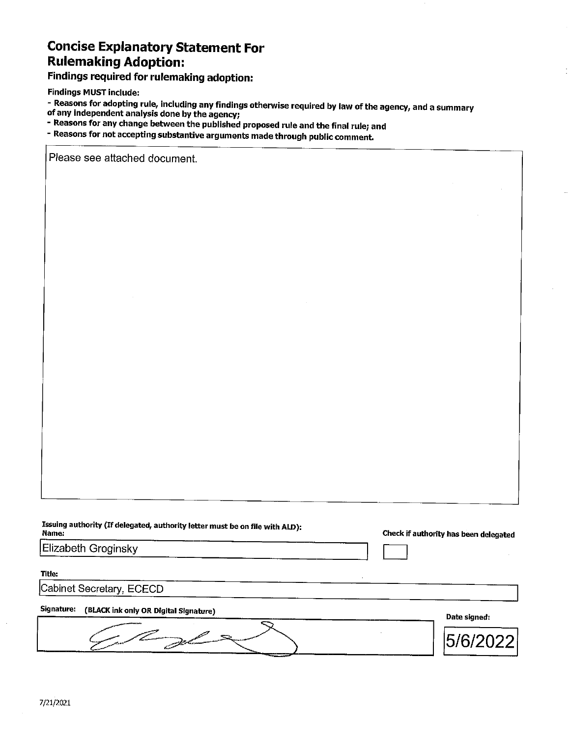### **Concise Explanatory Statement For Rulemaking Adoption:**

## **Findings required for rulemaking adoption:**

**Findings MUST include:** 

- Reasons for adopting rule, including any findings otherwise required by law of the agency, and a summary
- of any independent analysis done by the agency;
- Reasons for any change between the published proposed rule and the final rule; and
- Reasons for not accepting substantive arguments made through public comment.

Please see attached document.

Issuing authority (If delegated, authority letter must be on file with ALD): Name:

Elizabeth Groginsky

Check if authority has been delegated

Title:

Cabinet Secretary, ECECD

#### Signature: (BLACK ink only OR Digital Signature)

Date signed: Z  $\mathbb{R}$ 5/6/202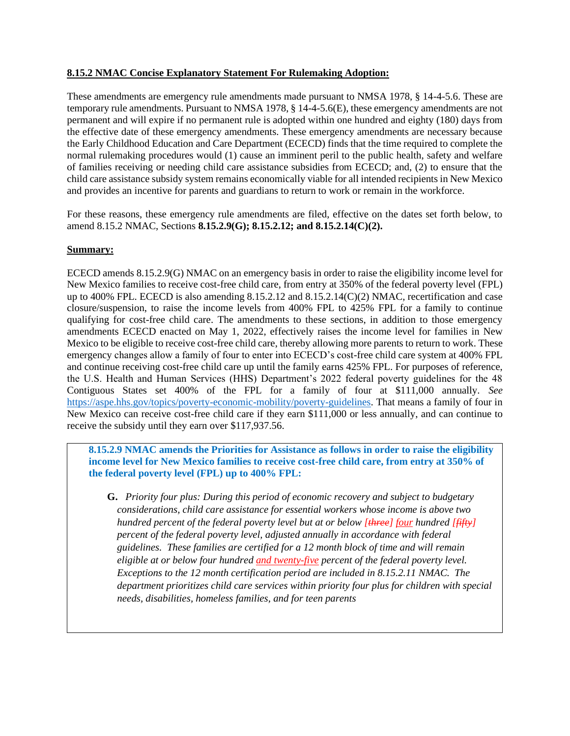### **8.15.2 NMAC Concise Explanatory Statement For Rulemaking Adoption:**

These amendments are emergency rule amendments made pursuant to NMSA 1978, § 14-4-5.6. These are temporary rule amendments. Pursuant to NMSA 1978, § 14-4-5.6(E), these emergency amendments are not permanent and will expire if no permanent rule is adopted within one hundred and eighty (180) days from the effective date of these emergency amendments. These emergency amendments are necessary because the Early Childhood Education and Care Department (ECECD) finds that the time required to complete the normal rulemaking procedures would (1) cause an imminent peril to the public health, safety and welfare of families receiving or needing child care assistance subsidies from ECECD; and, (2) to ensure that the child care assistance subsidy system remains economically viable for all intended recipients in New Mexico and provides an incentive for parents and guardians to return to work or remain in the workforce.

For these reasons, these emergency rule amendments are filed, effective on the dates set forth below, to amend 8.15.2 NMAC, Sections **8.15.2.9(G); 8.15.2.12; and 8.15.2.14(C)(2).**

#### **Summary:**

ECECD amends 8.15.2.9(G) NMAC on an emergency basis in order to raise the eligibility income level for New Mexico families to receive cost-free child care, from entry at 350% of the federal poverty level (FPL) up to 400% FPL. ECECD is also amending 8.15.2.12 and 8.15.2.14(C)(2) NMAC, recertification and case closure/suspension, to raise the income levels from 400% FPL to 425% FPL for a family to continue qualifying for cost-free child care. The amendments to these sections, in addition to those emergency amendments ECECD enacted on May 1, 2022, effectively raises the income level for families in New Mexico to be eligible to receive cost-free child care, thereby allowing more parents to return to work. These emergency changes allow a family of four to enter into ECECD's cost-free child care system at 400% FPL and continue receiving cost-free child care up until the family earns 425% FPL. For purposes of reference, the U.S. Health and Human Services (HHS) Department's 2022 federal poverty guidelines for the 48 Contiguous States set 400% of the FPL for a family of four at \$111,000 annually. *See* [https://aspe.hhs.gov/topics/poverty-economic-mobility/poverty-guidelines.](https://aspe.hhs.gov/topics/poverty-economic-mobility/poverty-guidelines) That means a family of four in New Mexico can receive cost-free child care if they earn \$111,000 or less annually, and can continue to receive the subsidy until they earn over \$117,937.56.

**8.15.2.9 NMAC amends the Priorities for Assistance as follows in order to raise the eligibility income level for New Mexico families to receive cost-free child care, from entry at 350% of the federal poverty level (FPL) up to 400% FPL:**

**G.** *Priority four plus: During this period of economic recovery and subject to budgetary considerations, child care assistance for essential workers whose income is above two hundred percent of the federal poverty level but at or below [three] four hundred [fifty] percent of the federal poverty level, adjusted annually in accordance with federal guidelines. These families are certified for a 12 month block of time and will remain eligible at or below four hundred and twenty-five percent of the federal poverty level. Exceptions to the 12 month certification period are included in 8.15.2.11 NMAC. The department prioritizes child care services within priority four plus for children with special needs, disabilities, homeless families, and for teen parents*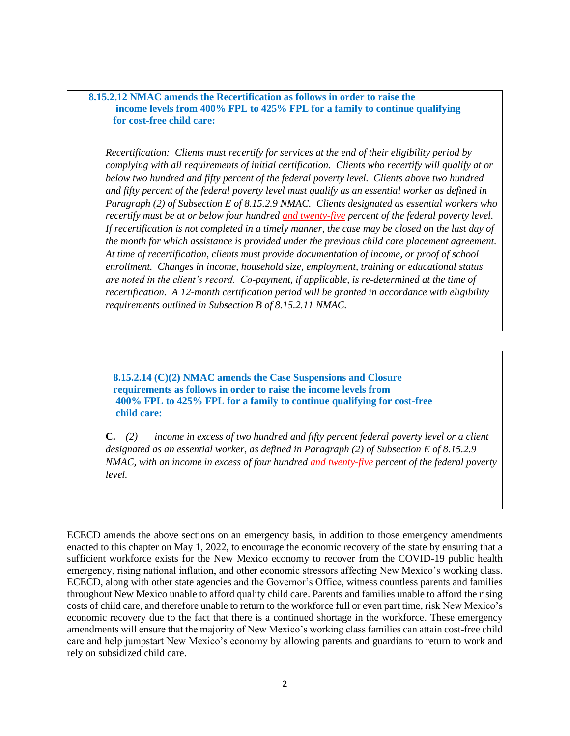### **8.15.2.12 NMAC amends the Recertification as follows in order to raise the income levels from 400% FPL to 425% FPL for a family to continue qualifying for cost-free child care:**

*Recertification: Clients must recertify for services at the end of their eligibility period by complying with all requirements of initial certification. Clients who recertify will qualify at or below two hundred and fifty percent of the federal poverty level. Clients above two hundred and fifty percent of the federal poverty level must qualify as an essential worker as defined in Paragraph (2) of Subsection E of 8.15.2.9 NMAC. Clients designated as essential workers who recertify must be at or below four hundred and twenty-five percent of the federal poverty level. If recertification is not completed in a timely manner, the case may be closed on the last day of the month for which assistance is provided under the previous child care placement agreement. At time of recertification, clients must provide documentation of income, or proof of school enrollment. Changes in income, household size, employment, training or educational status are noted in the client's record. Co-payment, if applicable, is re-determined at the time of recertification. A 12-month certification period will be granted in accordance with eligibility requirements outlined in Subsection B of 8.15.2.11 NMAC.*

**8.15.2.14 (C)(2) NMAC amends the Case Suspensions and Closure requirements as follows in order to raise the income levels from 400% FPL to 425% FPL for a family to continue qualifying for cost-free child care:** 

**C.** *(2) income in excess of two hundred and fifty percent federal poverty level or a client designated as an essential worker, as defined in Paragraph (2) of Subsection E of 8.15.2.9 NMAC, with an income in excess of four hundred and twenty-five percent of the federal poverty level.*

ECECD amends the above sections on an emergency basis, in addition to those emergency amendments enacted to this chapter on May 1, 2022, to encourage the economic recovery of the state by ensuring that a sufficient workforce exists for the New Mexico economy to recover from the COVID-19 public health emergency, rising national inflation, and other economic stressors affecting New Mexico's working class. ECECD, along with other state agencies and the Governor's Office, witness countless parents and families throughout New Mexico unable to afford quality child care. Parents and families unable to afford the rising costs of child care, and therefore unable to return to the workforce full or even part time, risk New Mexico's economic recovery due to the fact that there is a continued shortage in the workforce. These emergency amendments will ensure that the majority of New Mexico's working class families can attain cost-free child care and help jumpstart New Mexico's economy by allowing parents and guardians to return to work and rely on subsidized child care.